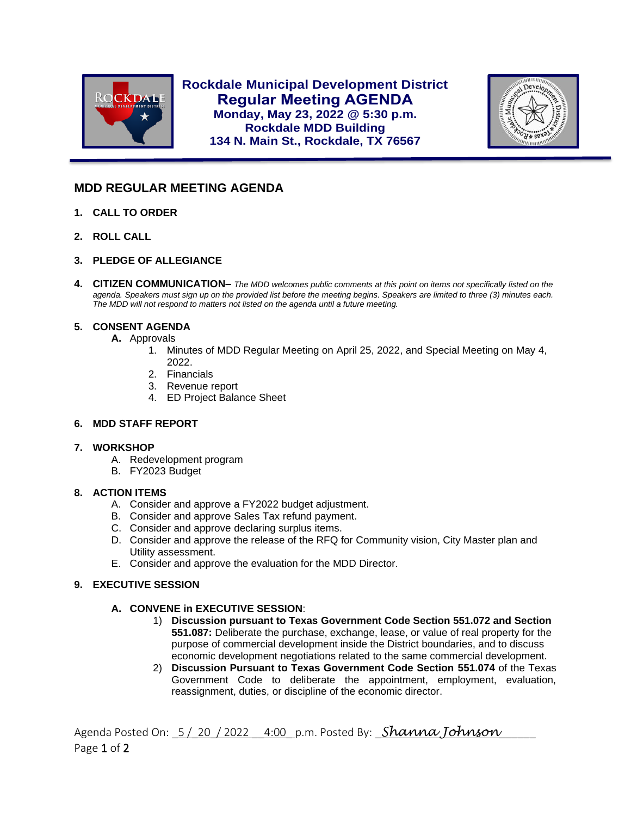

**Rockdale Municipal Development District Regular Meeting AGENDA Monday, May 23, 2022 @ 5:30 p.m. Rockdale MDD Building 134 N. Main St., Rockdale, TX 76567**



# **MDD REGULAR MEETING AGENDA**

- **1. CALL TO ORDER**
- **2. ROLL CALL**

l

- **3. PLEDGE OF ALLEGIANCE**
- **4. CITIZEN COMMUNICATION–** *The MDD welcomes public comments at this point on items not specifically listed on the agenda. Speakers must sign up on the provided list before the meeting begins. Speakers are limited to three (3) minutes each. The MDD will not respond to matters not listed on the agenda until a future meeting.*

# **5. CONSENT AGENDA**

- **A.** Approvals
	- 1. Minutes of MDD Regular Meeting on April 25, 2022, and Special Meeting on May 4, 2022.
	- 2. Financials
	- 3. Revenue report
	- 4. ED Project Balance Sheet

### **6. MDD STAFF REPORT**

### **7. WORKSHOP**

- A. Redevelopment program
- B. FY2023 Budget

# **8. ACTION ITEMS**

- A. Consider and approve a FY2022 budget adjustment.
- B. Consider and approve Sales Tax refund payment.
- C. Consider and approve declaring surplus items.
- D. Consider and approve the release of the RFQ for Community vision, City Master plan and Utility assessment.
- E. Consider and approve the evaluation for the MDD Director.

# **9. EXECUTIVE SESSION**

# **A. CONVENE in EXECUTIVE SESSION**:

- 1) **Discussion pursuant to Texas Government Code Section 551.072 and Section 551.087:** Deliberate the purchase, exchange, lease, or value of real property for the purpose of commercial development inside the District boundaries, and to discuss economic development negotiations related to the same commercial development.
- 2) **Discussion Pursuant to Texas Government Code Section 551.074** of the Texas Government Code to deliberate the appointment, employment, evaluation, reassignment, duties, or discipline of the economic director.

Agenda Posted On:  $5/20/2022 - 4:00$  p.m. Posted By: *Shanna Johnson* Page 1 of 2